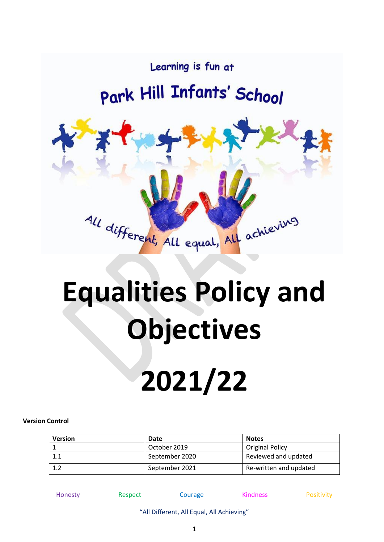

# **Equalities Policy and Objectives**

# **2021/22**

#### **Version Control**

| <b>Version</b> | Date           | <b>Notes</b>           |
|----------------|----------------|------------------------|
|                | October 2019   | <b>Original Policy</b> |
|                | September 2020 | Reviewed and updated   |
|                | September 2021 | Re-written and updated |

Honesty **Respect** Courage **Kindness** Positivity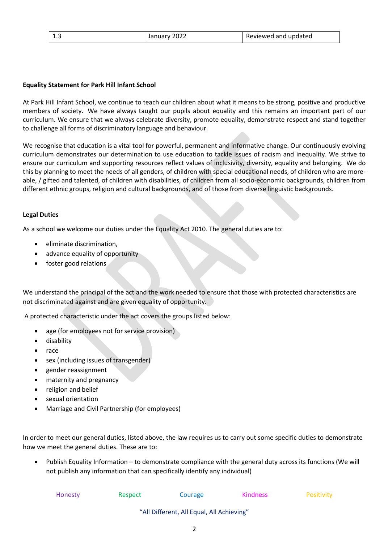### **Equality Statement for Park Hill Infant School**

At Park Hill Infant School, we continue to teach our children about what it means to be strong, positive and productive members of society. We have always taught our pupils about equality and this remains an important part of our curriculum. We ensure that we always celebrate diversity, promote equality, demonstrate respect and stand together to challenge all forms of discriminatory language and behaviour.

We recognise that education is a vital tool for powerful, permanent and informative change. Our continuously evolving curriculum demonstrates our determination to use education to tackle issues of racism and inequality. We strive to ensure our curriculum and supporting resources reflect values of inclusivity, diversity, equality and belonging. We do this by planning to meet the needs of all genders, of children with special educational needs, of children who are moreable, / gifted and talented, of children with disabilities, of children from all socio-economic backgrounds, children from different ethnic groups, religion and cultural backgrounds, and of those from diverse linguistic backgrounds.

## **Legal Duties**

As a school we welcome our duties under the Equality Act 2010. The general duties are to:

- eliminate discrimination,
- advance equality of opportunity
- foster good relations

We understand the principal of the act and the work needed to ensure that those with protected characteristics are not discriminated against and are given equality of opportunity.

A protected characteristic under the act covers the groups listed below:

- age (for employees not for service provision)
- disability
- race
- sex (including issues of transgender)
- gender reassignment
- maternity and pregnancy
- religion and belief
- sexual orientation
- Marriage and Civil Partnership (for employees)

In order to meet our general duties, listed above, the law requires us to carry out some specific duties to demonstrate how we meet the general duties. These are to:

• Publish Equality Information – to demonstrate compliance with the general duty across its functions (We will not publish any information that can specifically identify any individual)

| Honesty | Respect | Courage | <b>Kindness</b> | Positivity |
|---------|---------|---------|-----------------|------------|
|---------|---------|---------|-----------------|------------|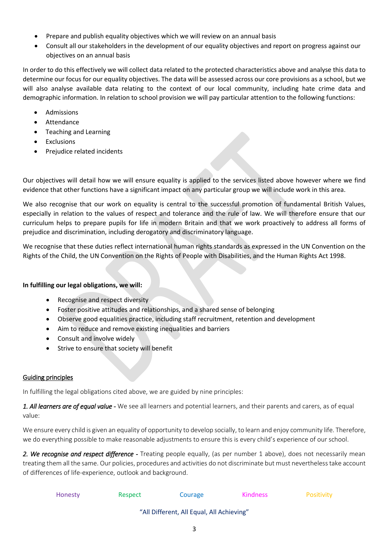- Prepare and publish equality objectives which we will review on an annual basis
- Consult all our stakeholders in the development of our equality objectives and report on progress against our objectives on an annual basis

In order to do this effectively we will collect data related to the protected characteristics above and analyse this data to determine our focus for our equality objectives. The data will be assessed across our core provisions as a school, but we will also analyse available data relating to the context of our local community, including hate crime data and demographic information. In relation to school provision we will pay particular attention to the following functions:

- Admissions
- **Attendance**
- Teaching and Learning
- **Exclusions**
- Prejudice related incidents

Our objectives will detail how we will ensure equality is applied to the services listed above however where we find evidence that other functions have a significant impact on any particular group we will include work in this area.

We also recognise that our work on equality is central to the successful promotion of fundamental British Values, especially in relation to the values of respect and tolerance and the rule of law. We will therefore ensure that our curriculum helps to prepare pupils for life in modern Britain and that we work proactively to address all forms of prejudice and discrimination, including derogatory and discriminatory language.

We recognise that these duties reflect international human rights standards as expressed in the UN Convention on the Rights of the Child, the UN Convention on the Rights of People with Disabilities, and the Human Rights Act 1998.

## **In fulfilling our legal obligations, we will:**

- Recognise and respect diversity
- Foster positive attitudes and relationships, and a shared sense of belonging
- Observe good equalities practice, including staff recruitment, retention and development
- Aim to reduce and remove existing inequalities and barriers
- Consult and involve widely
- Strive to ensure that society will benefit

## Guiding principles

In fulfilling the legal obligations cited above, we are guided by nine principles:

*1. All learners are of equal value -* We see all learners and potential learners, and their parents and carers, as of equal value:

We ensure every child is given an equality of opportunity to develop socially, to learn and enjoy community life. Therefore, we do everything possible to make reasonable adjustments to ensure this is every child's experience of our school.

*2. We recognise and respect difference -* Treating people equally, (as per number 1 above), does not necessarily mean treating them all the same. Our policies, procedures and activities do not discriminate but must nevertheless take account of differences of life-experience, outlook and background.

| Honesty | Respect | Courage | <b>Kindness</b> | Positivity |
|---------|---------|---------|-----------------|------------|
|---------|---------|---------|-----------------|------------|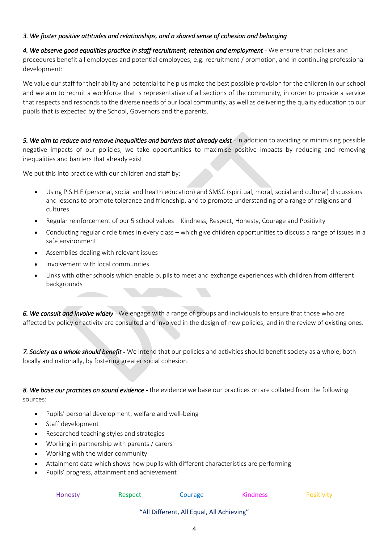## *3. We foster positive attitudes and relationships, and a shared sense of cohesion and belonging*

4. We observe good equalities practice in staff recruitment, retention and employment - We ensure that policies and procedures benefit all employees and potential employees, e.g. recruitment / promotion, and in continuing professional development:

We value our staff for their ability and potential to help us make the best possible provision for the children in our school and we aim to recruit a workforce that is representative of all sections of the community, in order to provide a service that respects and responds to the diverse needs of our local community, as well as delivering the quality education to our pupils that is expected by the School, Governors and the parents.

*5. We aim to reduce and remove inequalities and barriers that already exist -* In addition to avoiding or minimising possible negative impacts of our policies, we take opportunities to maximise positive impacts by reducing and removing inequalities and barriers that already exist.

We put this into practice with our children and staff by:

- Using P.S.H.E (personal, social and health education) and SMSC (spiritual, moral, social and cultural) discussions and lessons to promote tolerance and friendship, and to promote understanding of a range of religions and cultures
- Regular reinforcement of our 5 school values Kindness, Respect, Honesty, Courage and Positivity
- Conducting regular circle times in every class which give children opportunities to discuss a range of issues in a safe environment
- Assemblies dealing with relevant issues
- Involvement with local communities
- Links with other schools which enable pupils to meet and exchange experiences with children from different backgrounds

*6. We consult and involve widely -* We engage with a range of groups and individuals to ensure that those who are affected by policy or activity are consulted and involved in the design of new policies, and in the review of existing ones.

*7. Society as a whole should benefit -* We intend that our policies and activities should benefit society as a whole, both locally and nationally, by fostering greater social cohesion.

*8. We base our practices on sound evidence -* the evidence we base our practices on are collated from the following sources:

- Pupils' personal development, welfare and well-being
- Staff development
- Researched teaching styles and strategies
- Working in partnership with parents / carers
- Working with the wider community
- Attainment data which shows how pupils with different characteristics are performing
- Pupils' progress, attainment and achievement

| Honesty | Respect | Courage | <b>Kindness</b> | Positivity |
|---------|---------|---------|-----------------|------------|
|         |         |         |                 |            |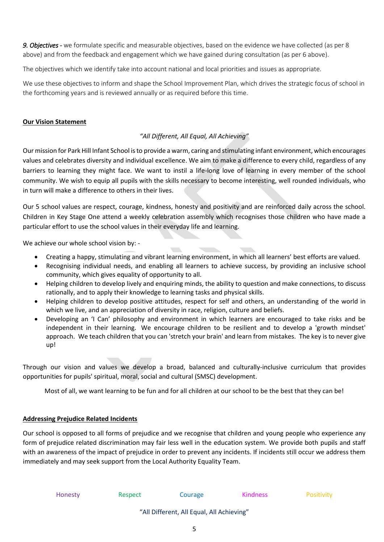*9. Objectives -* we formulate specific and measurable objectives, based on the evidence we have collected (as per 8 above) and from the feedback and engagement which we have gained during consultation (as per 6 above).

The objectives which we identify take into account national and local priorities and issues as appropriate.

We use these objectives to inform and shape the School Improvement Plan, which drives the strategic focus of school in the forthcoming years and is reviewed annually or as required before this time.

## **Our Vision Statement**

# *"All Different, All Equal, All Achieving"*

Our mission for Park Hill Infant School is to provide a warm, caring and stimulating infant environment, which encourages values and celebrates diversity and individual excellence. We aim to make a difference to every child, regardless of any barriers to learning they might face. We want to instil a life-long love of learning in every member of the school community. We wish to equip all pupils with the skills necessary to become interesting, well rounded individuals, who in turn will make a difference to others in their lives.

Our 5 school values are respect, courage, kindness, honesty and positivity and are reinforced daily across the school. Children in Key Stage One attend a weekly celebration assembly which recognises those children who have made a particular effort to use the school values in their everyday life and learning.

We achieve our whole school vision by: -

- Creating a happy, stimulating and vibrant learning environment, in which all learners' best efforts are valued.
- Recognising individual needs, and enabling all learners to achieve success, by providing an inclusive school community, which gives equality of opportunity to all.
- Helping children to develop lively and enquiring minds, the ability to question and make connections, to discuss rationally, and to apply their knowledge to learning tasks and physical skills.
- Helping children to develop positive attitudes, respect for self and others, an understanding of the world in which we live, and an appreciation of diversity in race, religion, culture and beliefs.
- Developing an 'I Can' philosophy and environment in which learners are encouraged to take risks and be independent in their learning. We encourage children to be resilient and to develop a 'growth mindset' approach. We teach children that you can 'stretch your brain' and learn from mistakes. The key is to never give up!

Through our vision and values we develop a broad, balanced and culturally-inclusive curriculum that provides opportunities for pupils' spiritual, moral, social and cultural (SMSC) development.

Most of all, we want learning to be fun and for all children at our school to be the best that they can be!

#### **Addressing Prejudice Related Incidents**

Our school is opposed to all forms of prejudice and we recognise that children and young people who experience any form of prejudice related discrimination may fair less well in the education system. We provide both pupils and staff with an awareness of the impact of prejudice in order to prevent any incidents. If incidents still occur we address them immediately and may seek support from the Local Authority Equality Team.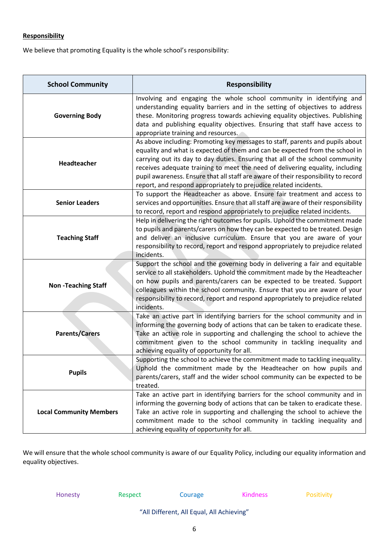# **Responsibility**

We believe that promoting Equality is the whole school's responsibility:

| <b>School Community</b>        | <b>Responsibility</b>                                                                                                                                                                                                                                                                                                                                                                                                                                                                      |  |  |
|--------------------------------|--------------------------------------------------------------------------------------------------------------------------------------------------------------------------------------------------------------------------------------------------------------------------------------------------------------------------------------------------------------------------------------------------------------------------------------------------------------------------------------------|--|--|
| <b>Governing Body</b>          | Involving and engaging the whole school community in identifying and<br>understanding equality barriers and in the setting of objectives to address<br>these. Monitoring progress towards achieving equality objectives. Publishing<br>data and publishing equality objectives. Ensuring that staff have access to<br>appropriate training and resources.                                                                                                                                  |  |  |
| Headteacher                    | As above including: Promoting key messages to staff, parents and pupils about<br>equality and what is expected of them and can be expected from the school in<br>carrying out its day to day duties. Ensuring that all of the school community<br>receives adequate training to meet the need of delivering equality, including<br>pupil awareness. Ensure that all staff are aware of their responsibility to record<br>report, and respond appropriately to prejudice related incidents. |  |  |
| <b>Senior Leaders</b>          | To support the Headteacher as above. Ensure fair treatment and access to<br>services and opportunities. Ensure that all staff are aware of their responsibility<br>to record, report and respond appropriately to prejudice related incidents.                                                                                                                                                                                                                                             |  |  |
| <b>Teaching Staff</b>          | Help in delivering the right outcomes for pupils. Uphold the commitment made<br>to pupils and parents/carers on how they can be expected to be treated. Design<br>and deliver an inclusive curriculum. Ensure that you are aware of your<br>responsibility to record, report and respond appropriately to prejudice related<br>incidents.                                                                                                                                                  |  |  |
| <b>Non-Teaching Staff</b>      | Support the school and the governing body in delivering a fair and equitable<br>service to all stakeholders. Uphold the commitment made by the Headteacher<br>on how pupils and parents/carers can be expected to be treated. Support<br>colleagues within the school community. Ensure that you are aware of your<br>responsibility to record, report and respond appropriately to prejudice related<br>incidents.                                                                        |  |  |
| <b>Parents/Carers</b>          | Take an active part in identifying barriers for the school community and in<br>informing the governing body of actions that can be taken to eradicate these.<br>Take an active role in supporting and challenging the school to achieve the<br>commitment given to the school community in tackling inequality and<br>achieving equality of opportunity for all.                                                                                                                           |  |  |
| <b>Pupils</b>                  | Supporting the school to achieve the commitment made to tackling inequality.<br>Uphold the commitment made by the Headteacher on how pupils and<br>parents/carers, staff and the wider school community can be expected to be<br>treated.                                                                                                                                                                                                                                                  |  |  |
| <b>Local Community Members</b> | Take an active part in identifying barriers for the school community and in<br>informing the governing body of actions that can be taken to eradicate these.<br>Take an active role in supporting and challenging the school to achieve the<br>commitment made to the school community in tackling inequality and<br>achieving equality of opportunity for all.                                                                                                                            |  |  |

We will ensure that the whole school community is aware of our Equality Policy, including our equality information and equality objectives.

Honesty **Respect** Courage **Kindness** Positivity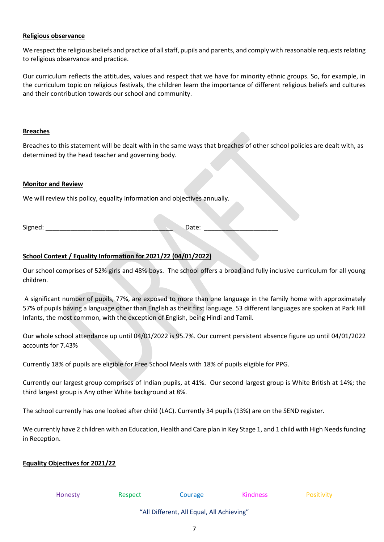#### **Religious observance**

We respect the religious beliefs and practice of all staff, pupils and parents, and comply with reasonable requests relating to religious observance and practice.

Our curriculum reflects the attitudes, values and respect that we have for minority ethnic groups. So, for example, in the curriculum topic on religious festivals, the children learn the importance of different religious beliefs and cultures and their contribution towards our school and community.

### **Breaches**

Breaches to this statement will be dealt with in the same ways that breaches of other school policies are dealt with, as determined by the head teacher and governing body.

## **Monitor and Review**

We will review this policy, equality information and objectives annually.

Signed: \_\_\_\_\_\_\_\_\_\_\_\_\_\_\_\_\_\_\_\_\_\_\_\_\_\_\_\_\_\_\_\_\_\_\_\_ Date: \_\_\_\_\_\_\_\_\_\_\_\_\_\_\_\_\_\_\_\_\_

# **School Context / Equality Information for 2021/22 (04/01/2022)**

Our school comprises of 52% girls and 48% boys. The school offers a broad and fully inclusive curriculum for all young children.

A significant number of pupils, 77%, are exposed to more than one language in the family home with approximately 57% of pupils having a language other than English as their first language. 53 different languages are spoken at Park Hill Infants, the most common, with the exception of English, being Hindi and Tamil.

Our whole school attendance up until 04/01/2022 is 95.7%. Our current persistent absence figure up until 04/01/2022 accounts for 7.43%

Currently 18% of pupils are eligible for Free School Meals with 18% of pupils eligible for PPG.

Currently our largest group comprises of Indian pupils, at 41%. Our second largest group is White British at 14%; the third largest group is Any other White background at 8%.

The school currently has one looked after child (LAC). Currently 34 pupils (13%) are on the SEND register.

We currently have 2 children with an Education, Health and Care plan in Key Stage 1, and 1 child with High Needs funding in Reception.

## **Equality Objectives for 2021/22**

| <b>Honesty</b> | Respect | Courage                                   | <b>Kindness</b> | <b>Positivity</b> |
|----------------|---------|-------------------------------------------|-----------------|-------------------|
|                |         | "All Different, All Equal, All Achieving" |                 |                   |

7